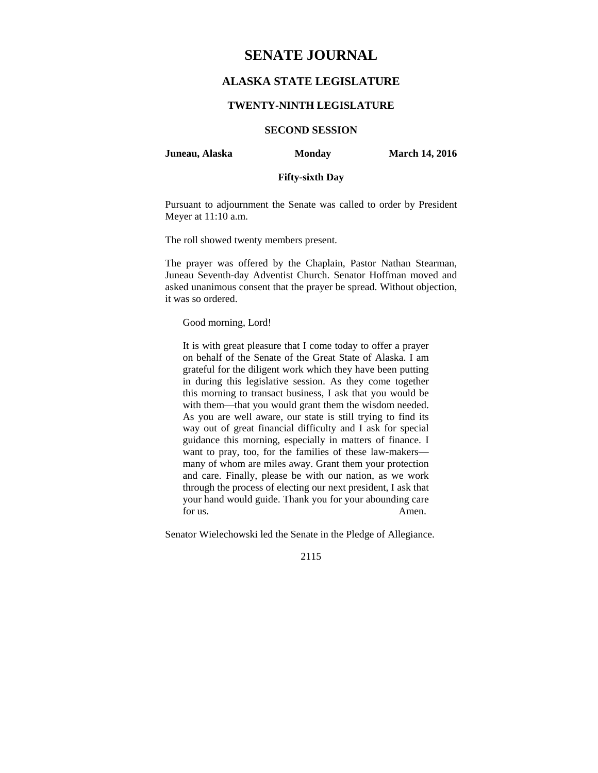# **SENATE JOURNAL**

# **ALASKA STATE LEGISLATURE**

#### **TWENTY-NINTH LEGISLATURE**

# **SECOND SESSION**

#### **Juneau, Alaska Monday March 14, 2016**

### **Fifty-sixth Day**

Pursuant to adjournment the Senate was called to order by President Meyer at 11:10 a.m.

The roll showed twenty members present.

The prayer was offered by the Chaplain, Pastor Nathan Stearman, Juneau Seventh-day Adventist Church. Senator Hoffman moved and asked unanimous consent that the prayer be spread. Without objection, it was so ordered.

Good morning, Lord!

It is with great pleasure that I come today to offer a prayer on behalf of the Senate of the Great State of Alaska. I am grateful for the diligent work which they have been putting in during this legislative session. As they come together this morning to transact business, I ask that you would be with them—that you would grant them the wisdom needed. As you are well aware, our state is still trying to find its way out of great financial difficulty and I ask for special guidance this morning, especially in matters of finance. I want to pray, too, for the families of these law-makers many of whom are miles away. Grant them your protection and care. Finally, please be with our nation, as we work through the process of electing our next president, I ask that your hand would guide. Thank you for your abounding care for us. Amen.

Senator Wielechowski led the Senate in the Pledge of Allegiance.

2115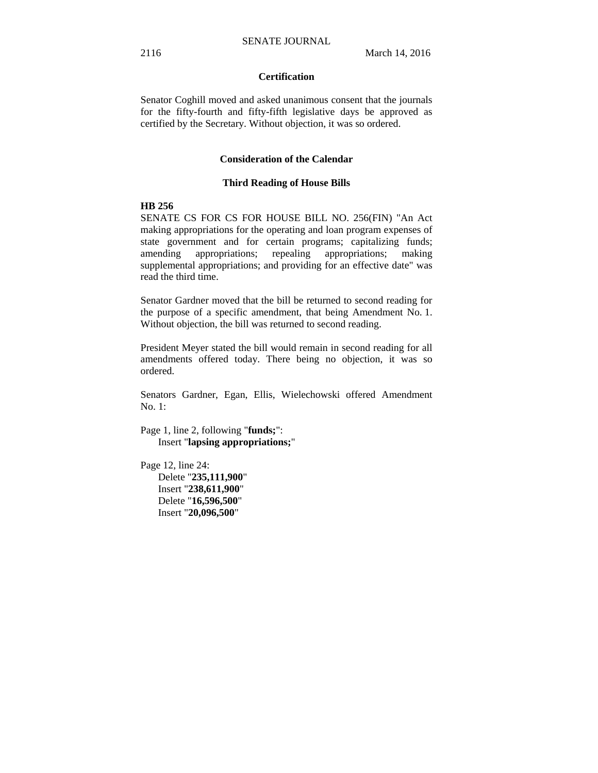# **Certification**

Senator Coghill moved and asked unanimous consent that the journals for the fifty-fourth and fifty-fifth legislative days be approved as certified by the Secretary. Without objection, it was so ordered.

#### **Consideration of the Calendar**

#### **Third Reading of House Bills**

#### **HB 256**

SENATE CS FOR CS FOR HOUSE BILL NO. 256(FIN) "An Act making appropriations for the operating and loan program expenses of state government and for certain programs; capitalizing funds; amending appropriations; repealing appropriations; making supplemental appropriations; and providing for an effective date" was read the third time.

Senator Gardner moved that the bill be returned to second reading for the purpose of a specific amendment, that being Amendment No. 1. Without objection, the bill was returned to second reading.

President Meyer stated the bill would remain in second reading for all amendments offered today. There being no objection, it was so ordered.

Senators Gardner, Egan, Ellis, Wielechowski offered Amendment No. 1:

Page 1, line 2, following "**funds;**": Insert "**lapsing appropriations;**"

Page 12, line 24: Delete "**235,111,900**" Insert "**238,611,900**" Delete "**16,596,500**" Insert "**20,096,500**"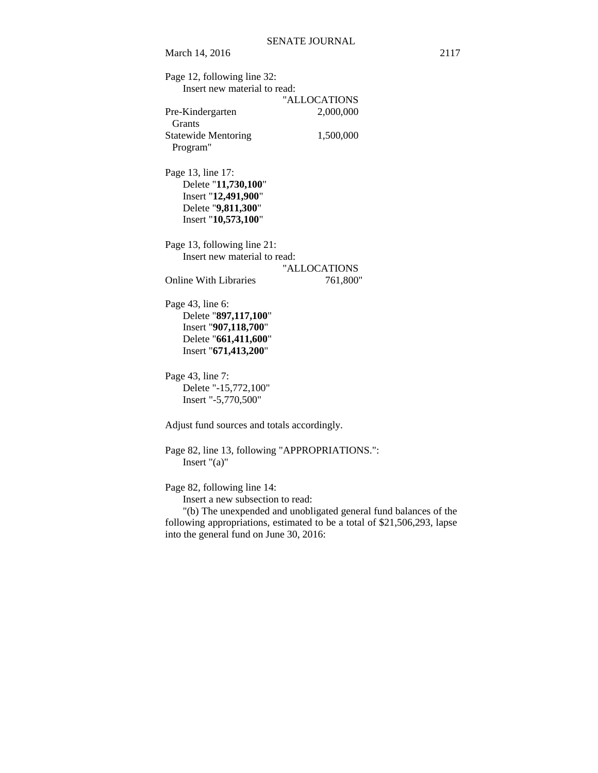March 14, 2016 2117 Page 12, following line 32: Insert new material to read: "ALLOCATIONS Pre-Kindergarten 2,000,000 Grants Statewide Mentoring 1,500,000 Program" Page 13, line 17: Delete "**11,730,100**" Insert "**12,491,900**" Delete "**9,811,300**" Insert "**10,573,100**" Page 13, following line 21: Insert new material to read: "ALLOCATIONS Online With Libraries 761,800" Page 43, line 6: Delete "**897,117,100**" Insert "**907,118,700**" Delete "**661,411,600**" Insert "**671,413,200**" Page 43, line 7: Delete "-15,772,100" Insert "-5,770,500" Adjust fund sources and totals accordingly. Page 82, line 13, following "APPROPRIATIONS.": Insert "(a)" Page 82, following line 14: Insert a new subsection to read:

"(b) The unexpended and unobligated general fund balances of the following appropriations, estimated to be a total of \$21,506,293, lapse into the general fund on June 30, 2016: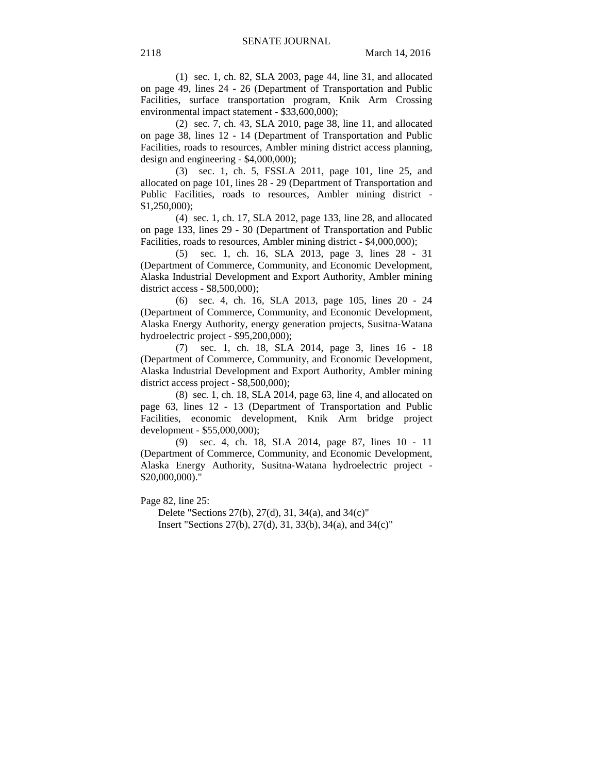(1) sec. 1, ch. 82, SLA 2003, page 44, line 31, and allocated on page 49, lines 24 - 26 (Department of Transportation and Public Facilities, surface transportation program, Knik Arm Crossing environmental impact statement - \$33,600,000);

(2) sec. 7, ch. 43, SLA 2010, page 38, line 11, and allocated on page 38, lines 12 - 14 (Department of Transportation and Public Facilities, roads to resources, Ambler mining district access planning, design and engineering - \$4,000,000);

(3) sec. 1, ch. 5, FSSLA 2011, page 101, line 25, and allocated on page 101, lines 28 - 29 (Department of Transportation and Public Facilities, roads to resources, Ambler mining district - \$1,250,000);

(4) sec. 1, ch. 17, SLA 2012, page 133, line 28, and allocated on page 133, lines 29 - 30 (Department of Transportation and Public Facilities, roads to resources, Ambler mining district - \$4,000,000);

(5) sec. 1, ch. 16, SLA 2013, page 3, lines 28 - 31 (Department of Commerce, Community, and Economic Development, Alaska Industrial Development and Export Authority, Ambler mining district access - \$8,500,000);

(6) sec. 4, ch. 16, SLA 2013, page 105, lines 20 - 24 (Department of Commerce, Community, and Economic Development, Alaska Energy Authority, energy generation projects, Susitna-Watana hydroelectric project - \$95,200,000);

(7) sec. 1, ch. 18, SLA 2014, page 3, lines 16 - 18 (Department of Commerce, Community, and Economic Development, Alaska Industrial Development and Export Authority, Ambler mining district access project - \$8,500,000);

(8) sec. 1, ch. 18, SLA 2014, page 63, line 4, and allocated on page 63, lines 12 - 13 (Department of Transportation and Public Facilities, economic development, Knik Arm bridge project development - \$55,000,000);

(9) sec. 4, ch. 18, SLA 2014, page 87, lines 10 - 11 (Department of Commerce, Community, and Economic Development, Alaska Energy Authority, Susitna-Watana hydroelectric project - \$20,000,000)."

Page 82, line 25:

Delete "Sections 27(b), 27(d), 31, 34(a), and 34(c)" Insert "Sections 27(b), 27(d), 31, 33(b), 34(a), and 34(c)"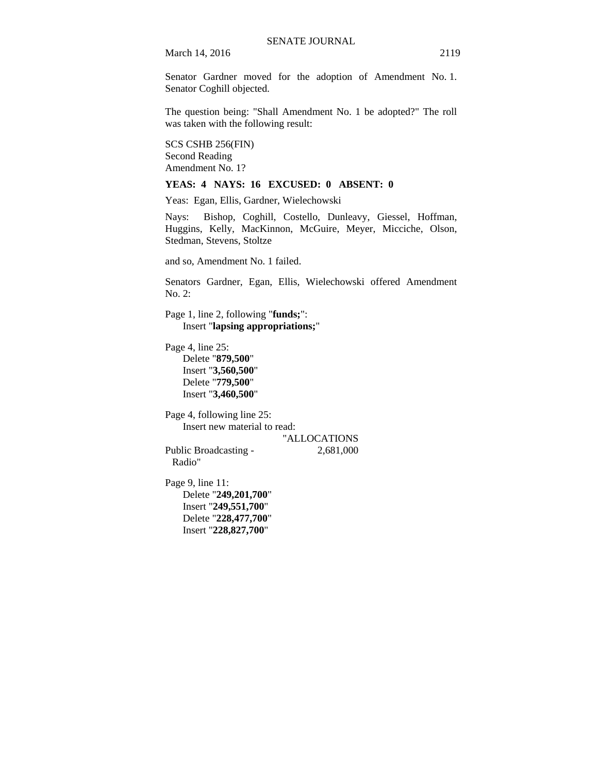March 14, 2016 2119

Senator Gardner moved for the adoption of Amendment No. 1. Senator Coghill objected.

The question being: "Shall Amendment No. 1 be adopted?" The roll was taken with the following result:

SCS CSHB 256(FIN) Second Reading Amendment No. 1?

## **YEAS: 4 NAYS: 16 EXCUSED: 0 ABSENT: 0**

Yeas: Egan, Ellis, Gardner, Wielechowski

Nays: Bishop, Coghill, Costello, Dunleavy, Giessel, Hoffman, Huggins, Kelly, MacKinnon, McGuire, Meyer, Micciche, Olson, Stedman, Stevens, Stoltze

and so, Amendment No. 1 failed.

Senators Gardner, Egan, Ellis, Wielechowski offered Amendment No. 2:

Page 1, line 2, following "**funds;**": Insert "**lapsing appropriations;**"

Page 4, line 25: Delete "**879,500**" Insert "**3,560,500**" Delete "**779,500**" Insert "**3,460,500**"

Page 4, following line 25: Insert new material to read: "ALLOCATIONS

Public Broadcasting - 2,681,000 Radio"

Page 9, line 11: Delete "**249,201,700**" Insert "**249,551,700**" Delete "**228,477,700**"

Insert "**228,827,700**"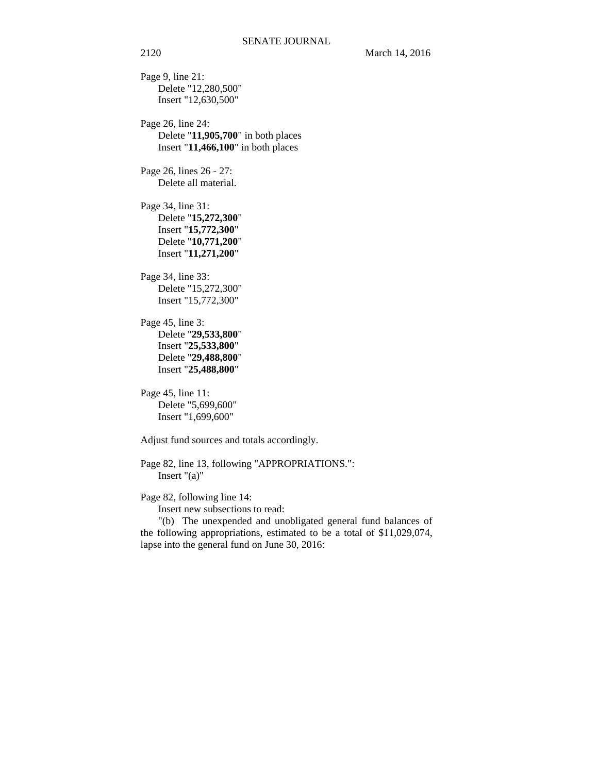Page 9, line 21: Delete "12,280,500" Insert "12,630,500"

Page 26, line 24: Delete "**11,905,700**" in both places Insert "**11,466,100**" in both places

Page 26, lines 26 - 27: Delete all material.

Page 34, line 31: Delete "**15,272,300**" Insert "**15,772,300**" Delete "**10,771,200**" Insert "**11,271,200**"

Page 34, line 33: Delete "15,272,300" Insert "15,772,300"

Page 45, line 3: Delete "**29,533,800**" Insert "**25,533,800**" Delete "**29,488,800**" Insert "**25,488,800**"

Page 45, line 11: Delete "5,699,600" Insert "1,699,600"

Adjust fund sources and totals accordingly.

Page 82, line 13, following "APPROPRIATIONS.": Insert "(a)"

Page 82, following line 14:

Insert new subsections to read:

"(b) The unexpended and unobligated general fund balances of the following appropriations, estimated to be a total of \$11,029,074, lapse into the general fund on June 30, 2016: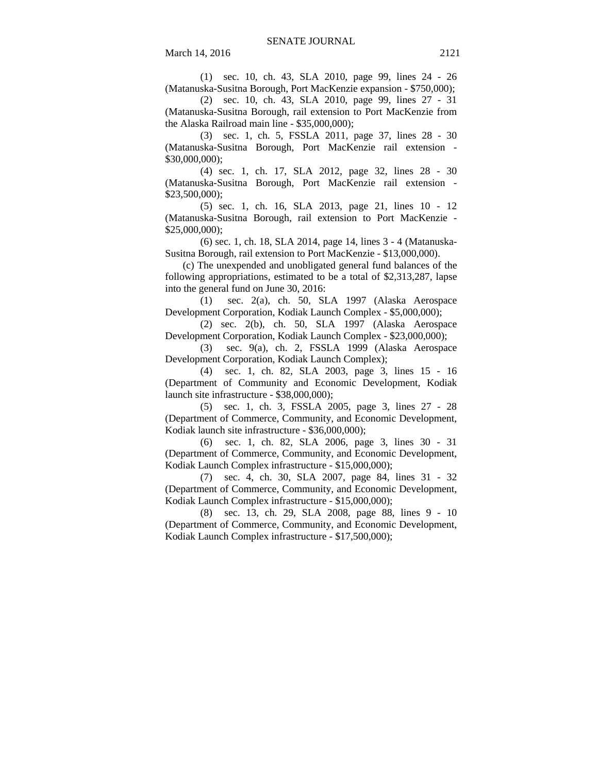(1) sec. 10, ch. 43, SLA 2010, page 99, lines 24 - 26 (Matanuska-Susitna Borough, Port MacKenzie expansion - \$750,000);

(2) sec. 10, ch. 43, SLA 2010, page 99, lines 27 - 31 (Matanuska-Susitna Borough, rail extension to Port MacKenzie from the Alaska Railroad main line - \$35,000,000);

(3) sec. 1, ch. 5, FSSLA 2011, page 37, lines 28 - 30 (Matanuska-Susitna Borough, Port MacKenzie rail extension - \$30,000,000);

(4) sec. 1, ch. 17, SLA 2012, page 32, lines 28 - 30 (Matanuska-Susitna Borough, Port MacKenzie rail extension - \$23,500,000);

(5) sec. 1, ch. 16, SLA 2013, page 21, lines 10 - 12 (Matanuska-Susitna Borough, rail extension to Port MacKenzie - \$25,000,000);

(6) sec. 1, ch. 18, SLA 2014, page 14, lines 3 - 4 (Matanuska-Susitna Borough, rail extension to Port MacKenzie - \$13,000,000).

(c) The unexpended and unobligated general fund balances of the following appropriations, estimated to be a total of \$2,313,287, lapse into the general fund on June 30, 2016:

(1) sec. 2(a), ch. 50, SLA 1997 (Alaska Aerospace Development Corporation, Kodiak Launch Complex - \$5,000,000);

(2) sec. 2(b), ch. 50, SLA 1997 (Alaska Aerospace Development Corporation, Kodiak Launch Complex - \$23,000,000);

(3) sec. 9(a), ch. 2, FSSLA 1999 (Alaska Aerospace Development Corporation, Kodiak Launch Complex);

(4) sec. 1, ch. 82, SLA 2003, page 3, lines 15 - 16 (Department of Community and Economic Development, Kodiak launch site infrastructure - \$38,000,000);

(5) sec. 1, ch. 3, FSSLA 2005, page 3, lines 27 - 28 (Department of Commerce, Community, and Economic Development, Kodiak launch site infrastructure - \$36,000,000);

(6) sec. 1, ch. 82, SLA 2006, page 3, lines 30 - 31 (Department of Commerce, Community, and Economic Development, Kodiak Launch Complex infrastructure - \$15,000,000);

(7) sec. 4, ch. 30, SLA 2007, page 84, lines 31 - 32 (Department of Commerce, Community, and Economic Development, Kodiak Launch Complex infrastructure - \$15,000,000);

(8) sec. 13, ch. 29, SLA 2008, page 88, lines 9 - 10 (Department of Commerce, Community, and Economic Development, Kodiak Launch Complex infrastructure - \$17,500,000);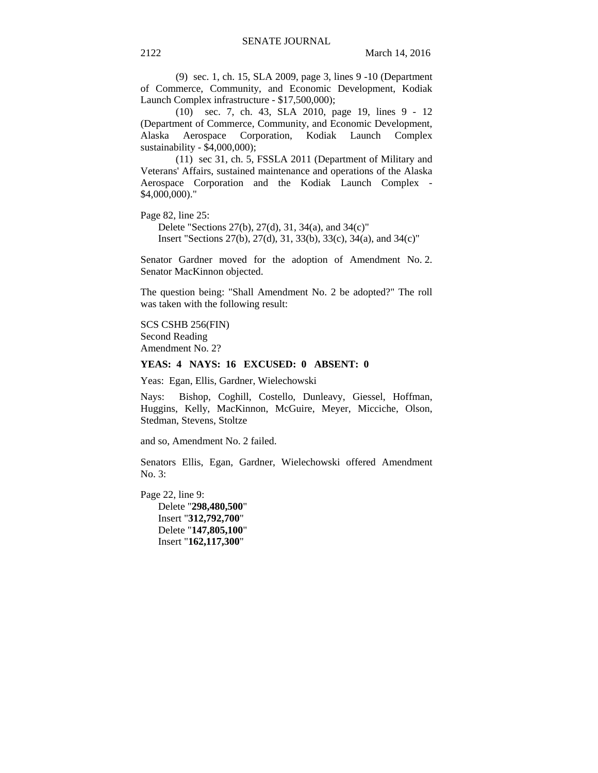(9) sec. 1, ch. 15, SLA 2009, page 3, lines 9 -10 (Department of Commerce, Community, and Economic Development, Kodiak Launch Complex infrastructure - \$17,500,000);

(10) sec. 7, ch. 43, SLA 2010, page 19, lines 9 - 12 (Department of Commerce, Community, and Economic Development, Alaska Aerospace Corporation, Kodiak Launch Complex sustainability - \$4,000,000);

(11) sec 31, ch. 5, FSSLA 2011 (Department of Military and Veterans' Affairs, sustained maintenance and operations of the Alaska Aerospace Corporation and the Kodiak Launch Complex - \$4,000,000)."

Page 82, line 25:

Delete "Sections 27(b), 27(d), 31, 34(a), and 34(c)" Insert "Sections 27(b), 27(d), 31, 33(b), 33(c), 34(a), and 34(c)"

Senator Gardner moved for the adoption of Amendment No. 2. Senator MacKinnon objected.

The question being: "Shall Amendment No. 2 be adopted?" The roll was taken with the following result:

SCS CSHB 256(FIN) Second Reading Amendment No. 2?

### **YEAS: 4 NAYS: 16 EXCUSED: 0 ABSENT: 0**

Yeas: Egan, Ellis, Gardner, Wielechowski

Nays: Bishop, Coghill, Costello, Dunleavy, Giessel, Hoffman, Huggins, Kelly, MacKinnon, McGuire, Meyer, Micciche, Olson, Stedman, Stevens, Stoltze

and so, Amendment No. 2 failed.

Senators Ellis, Egan, Gardner, Wielechowski offered Amendment No. 3:

Page 22, line 9: Delete "**298,480,500**" Insert "**312,792,700**" Delete "**147,805,100**" Insert "**162,117,300**"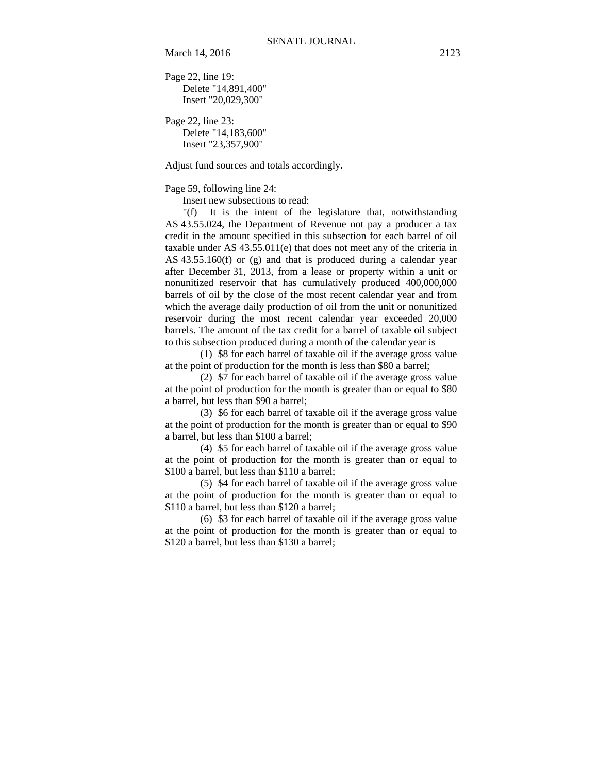March 14, 2016 2123

Page 22, line 19: Delete "14,891,400" Insert "20,029,300"

Page 22, line 23: Delete "14,183,600" Insert "23,357,900"

Adjust fund sources and totals accordingly.

Page 59, following line 24:

Insert new subsections to read:

"(f) It is the intent of the legislature that, notwithstanding AS 43.55.024, the Department of Revenue not pay a producer a tax credit in the amount specified in this subsection for each barrel of oil taxable under AS 43.55.011(e) that does not meet any of the criteria in AS 43.55.160(f) or (g) and that is produced during a calendar year after December 31, 2013, from a lease or property within a unit or nonunitized reservoir that has cumulatively produced 400,000,000 barrels of oil by the close of the most recent calendar year and from which the average daily production of oil from the unit or nonunitized reservoir during the most recent calendar year exceeded 20,000 barrels. The amount of the tax credit for a barrel of taxable oil subject to this subsection produced during a month of the calendar year is

(1) \$8 for each barrel of taxable oil if the average gross value at the point of production for the month is less than \$80 a barrel;

(2) \$7 for each barrel of taxable oil if the average gross value at the point of production for the month is greater than or equal to \$80 a barrel, but less than \$90 a barrel;

(3) \$6 for each barrel of taxable oil if the average gross value at the point of production for the month is greater than or equal to \$90 a barrel, but less than \$100 a barrel;

(4) \$5 for each barrel of taxable oil if the average gross value at the point of production for the month is greater than or equal to \$100 a barrel, but less than \$110 a barrel;

(5) \$4 for each barrel of taxable oil if the average gross value at the point of production for the month is greater than or equal to \$110 a barrel, but less than \$120 a barrel;

(6) \$3 for each barrel of taxable oil if the average gross value at the point of production for the month is greater than or equal to \$120 a barrel, but less than \$130 a barrel;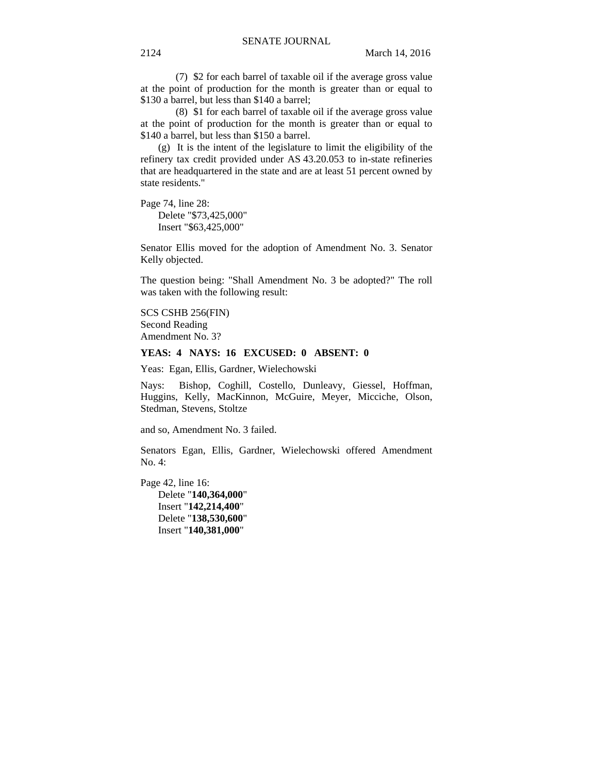(7) \$2 for each barrel of taxable oil if the average gross value at the point of production for the month is greater than or equal to \$130 a barrel, but less than \$140 a barrel;

(8) \$1 for each barrel of taxable oil if the average gross value at the point of production for the month is greater than or equal to \$140 a barrel, but less than \$150 a barrel.

(g) It is the intent of the legislature to limit the eligibility of the refinery tax credit provided under AS 43.20.053 to in-state refineries that are headquartered in the state and are at least 51 percent owned by state residents."

Page 74, line 28: Delete "\$73,425,000" Insert "\$63,425,000"

Senator Ellis moved for the adoption of Amendment No. 3. Senator Kelly objected.

The question being: "Shall Amendment No. 3 be adopted?" The roll was taken with the following result:

SCS CSHB 256(FIN) Second Reading Amendment No. 3?

### **YEAS: 4 NAYS: 16 EXCUSED: 0 ABSENT: 0**

Yeas: Egan, Ellis, Gardner, Wielechowski

Nays: Bishop, Coghill, Costello, Dunleavy, Giessel, Hoffman, Huggins, Kelly, MacKinnon, McGuire, Meyer, Micciche, Olson, Stedman, Stevens, Stoltze

and so, Amendment No. 3 failed.

Senators Egan, Ellis, Gardner, Wielechowski offered Amendment No. 4:

Page 42, line 16: Delete "**140,364,000**" Insert "**142,214,400**" Delete "**138,530,600**" Insert "**140,381,000**"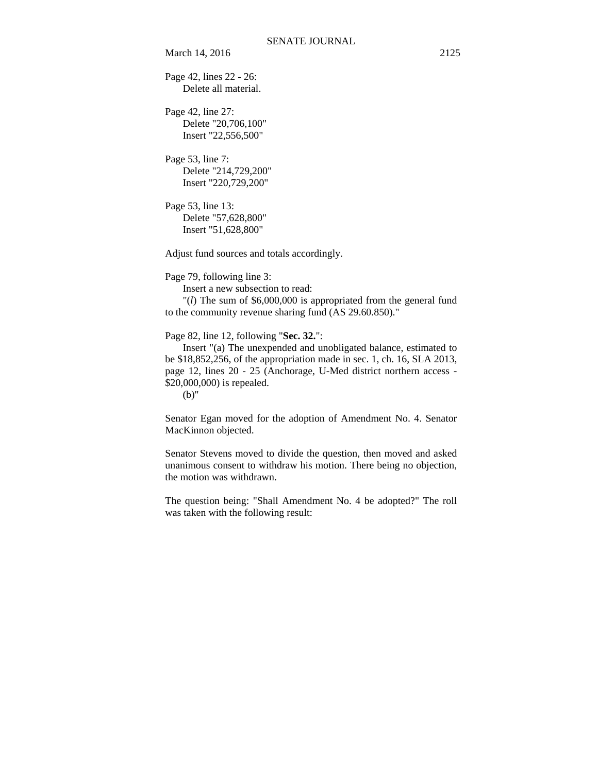March 14, 2016 2125

Page 42, lines 22 - 26: Delete all material.

Page 42, line 27: Delete "20,706,100" Insert "22,556,500"

Page 53, line 7: Delete "214,729,200" Insert "220,729,200"

Page 53, line 13: Delete "57,628,800" Insert "51,628,800"

Adjust fund sources and totals accordingly.

Page 79, following line 3:

Insert a new subsection to read:

 "(*l*) The sum of \$6,000,000 is appropriated from the general fund to the community revenue sharing fund (AS 29.60.850)."

Page 82, line 12, following "**Sec. 32.**":

 Insert "(a) The unexpended and unobligated balance, estimated to be \$18,852,256, of the appropriation made in sec. 1, ch. 16, SLA 2013, page 12, lines 20 - 25 (Anchorage, U-Med district northern access - \$20,000,000) is repealed.

(b)"

Senator Egan moved for the adoption of Amendment No. 4. Senator MacKinnon objected.

Senator Stevens moved to divide the question, then moved and asked unanimous consent to withdraw his motion. There being no objection, the motion was withdrawn.

The question being: "Shall Amendment No. 4 be adopted?" The roll was taken with the following result: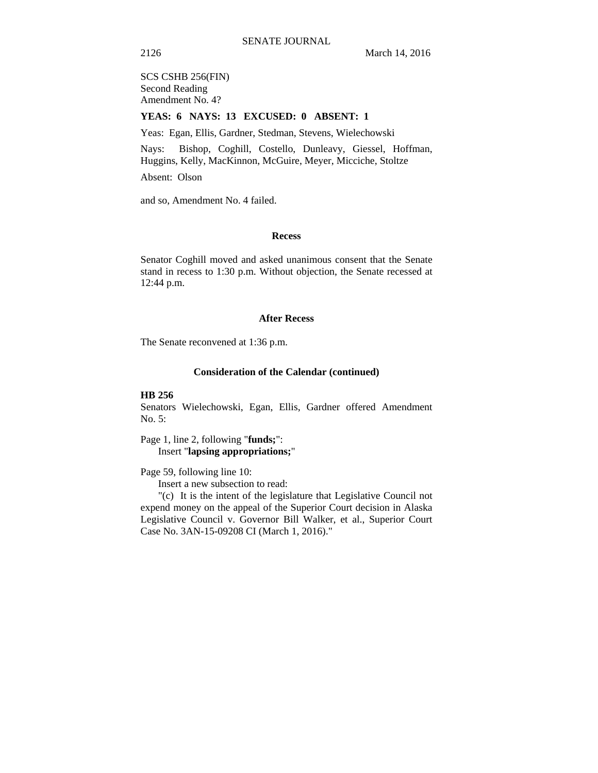SCS CSHB 256(FIN) Second Reading Amendment No. 4?

#### **YEAS: 6 NAYS: 13 EXCUSED: 0 ABSENT: 1**

Yeas: Egan, Ellis, Gardner, Stedman, Stevens, Wielechowski

Nays: Bishop, Coghill, Costello, Dunleavy, Giessel, Hoffman, Huggins, Kelly, MacKinnon, McGuire, Meyer, Micciche, Stoltze

Absent: Olson

and so, Amendment No. 4 failed.

#### **Recess**

Senator Coghill moved and asked unanimous consent that the Senate stand in recess to 1:30 p.m. Without objection, the Senate recessed at 12:44 p.m.

#### **After Recess**

The Senate reconvened at 1:36 p.m.

#### **Consideration of the Calendar (continued)**

#### **HB 256**

Senators Wielechowski, Egan, Ellis, Gardner offered Amendment No. 5:

Page 1, line 2, following "**funds;**": Insert "**lapsing appropriations;**"

Page 59, following line 10:

Insert a new subsection to read:

"(c) It is the intent of the legislature that Legislative Council not expend money on the appeal of the Superior Court decision in Alaska Legislative Council v. Governor Bill Walker, et al., Superior Court Case No. 3AN-15-09208 CI (March 1, 2016)."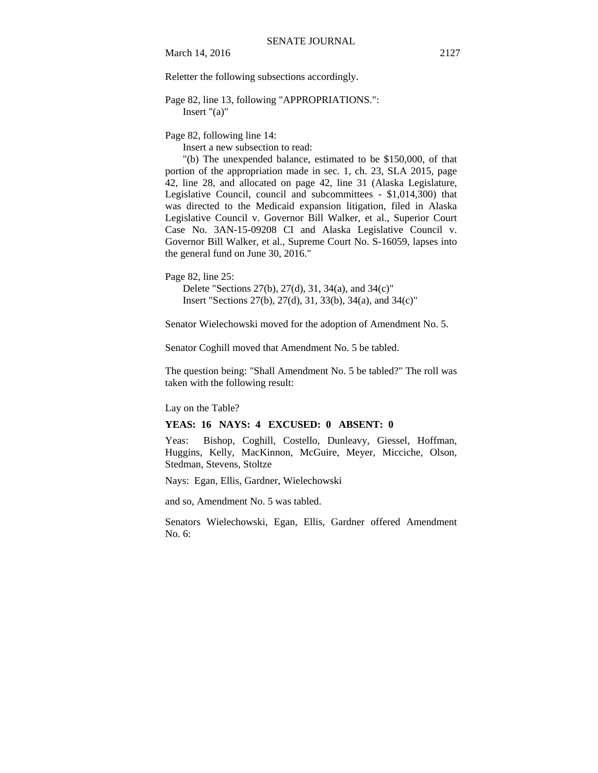Reletter the following subsections accordingly.

## Page 82, line 13, following "APPROPRIATIONS.": Insert "(a)"

Page 82, following line 14:

Insert a new subsection to read:

"(b) The unexpended balance, estimated to be \$150,000, of that portion of the appropriation made in sec. 1, ch. 23, SLA 2015, page 42, line 28, and allocated on page 42, line 31 (Alaska Legislature, Legislative Council, council and subcommittees - \$1,014,300) that was directed to the Medicaid expansion litigation, filed in Alaska Legislative Council v. Governor Bill Walker, et al., Superior Court Case No. 3AN-15-09208 CI and Alaska Legislative Council v. Governor Bill Walker, et al., Supreme Court No. S-16059, lapses into the general fund on June 30, 2016."

Page 82, line 25:

Delete "Sections 27(b), 27(d), 31, 34(a), and 34(c)" Insert "Sections 27(b), 27(d), 31, 33(b), 34(a), and 34(c)"

Senator Wielechowski moved for the adoption of Amendment No. 5.

Senator Coghill moved that Amendment No. 5 be tabled.

The question being: "Shall Amendment No. 5 be tabled?" The roll was taken with the following result:

Lay on the Table?

#### **YEAS: 16 NAYS: 4 EXCUSED: 0 ABSENT: 0**

Yeas: Bishop, Coghill, Costello, Dunleavy, Giessel, Hoffman, Huggins, Kelly, MacKinnon, McGuire, Meyer, Micciche, Olson, Stedman, Stevens, Stoltze

Nays: Egan, Ellis, Gardner, Wielechowski

and so, Amendment No. 5 was tabled.

Senators Wielechowski, Egan, Ellis, Gardner offered Amendment No. 6: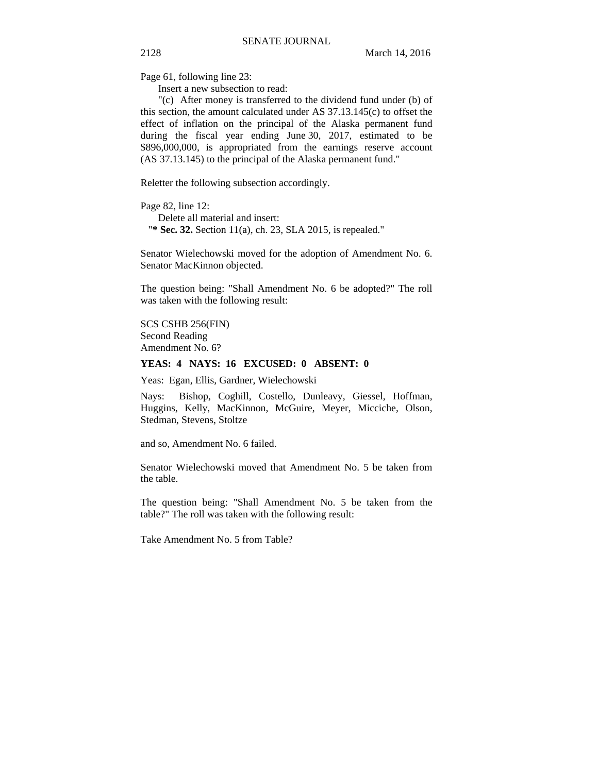Page 61, following line 23:

Insert a new subsection to read:

"(c) After money is transferred to the dividend fund under (b) of this section, the amount calculated under AS 37.13.145(c) to offset the effect of inflation on the principal of the Alaska permanent fund during the fiscal year ending June 30, 2017, estimated to be \$896,000,000, is appropriated from the earnings reserve account (AS 37.13.145) to the principal of the Alaska permanent fund."

Reletter the following subsection accordingly.

Page 82, line 12: Delete all material and insert:

"**\* Sec. 32.** Section 11(a), ch. 23, SLA 2015, is repealed."

Senator Wielechowski moved for the adoption of Amendment No. 6. Senator MacKinnon objected.

The question being: "Shall Amendment No. 6 be adopted?" The roll was taken with the following result:

SCS CSHB 256(FIN) Second Reading Amendment No. 6?

#### **YEAS: 4 NAYS: 16 EXCUSED: 0 ABSENT: 0**

Yeas: Egan, Ellis, Gardner, Wielechowski

Nays: Bishop, Coghill, Costello, Dunleavy, Giessel, Hoffman, Huggins, Kelly, MacKinnon, McGuire, Meyer, Micciche, Olson, Stedman, Stevens, Stoltze

and so, Amendment No. 6 failed.

Senator Wielechowski moved that Amendment No. 5 be taken from the table.

The question being: "Shall Amendment No. 5 be taken from the table?" The roll was taken with the following result:

Take Amendment No. 5 from Table?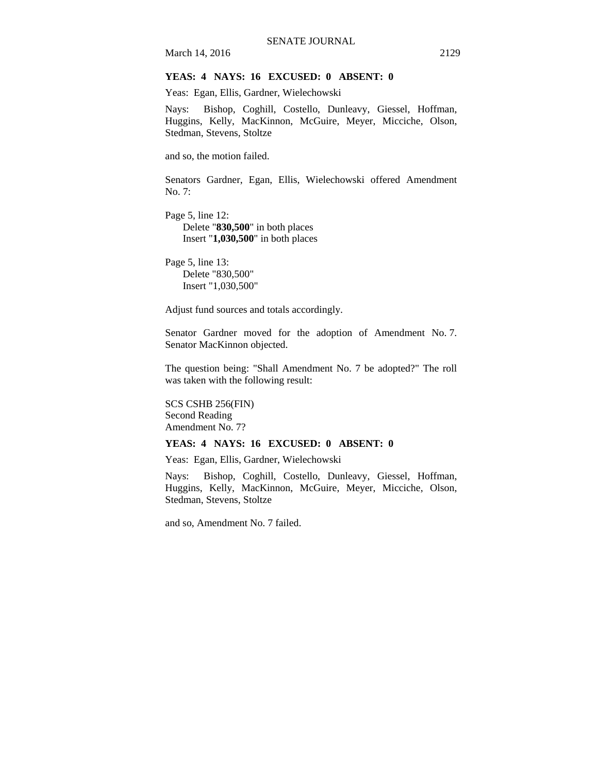March 14, 2016 2129

### **YEAS: 4 NAYS: 16 EXCUSED: 0 ABSENT: 0**

Yeas: Egan, Ellis, Gardner, Wielechowski

Nays: Bishop, Coghill, Costello, Dunleavy, Giessel, Hoffman, Huggins, Kelly, MacKinnon, McGuire, Meyer, Micciche, Olson, Stedman, Stevens, Stoltze

and so, the motion failed.

Senators Gardner, Egan, Ellis, Wielechowski offered Amendment No. 7:

Page 5, line 12: Delete "**830,500**" in both places Insert "**1,030,500**" in both places

Page 5, line 13: Delete "830,500" Insert "1,030,500"

Adjust fund sources and totals accordingly.

Senator Gardner moved for the adoption of Amendment No. 7. Senator MacKinnon objected.

The question being: "Shall Amendment No. 7 be adopted?" The roll was taken with the following result:

SCS CSHB 256(FIN) Second Reading Amendment No. 7?

#### **YEAS: 4 NAYS: 16 EXCUSED: 0 ABSENT: 0**

Yeas: Egan, Ellis, Gardner, Wielechowski

Nays: Bishop, Coghill, Costello, Dunleavy, Giessel, Hoffman, Huggins, Kelly, MacKinnon, McGuire, Meyer, Micciche, Olson, Stedman, Stevens, Stoltze

and so, Amendment No. 7 failed.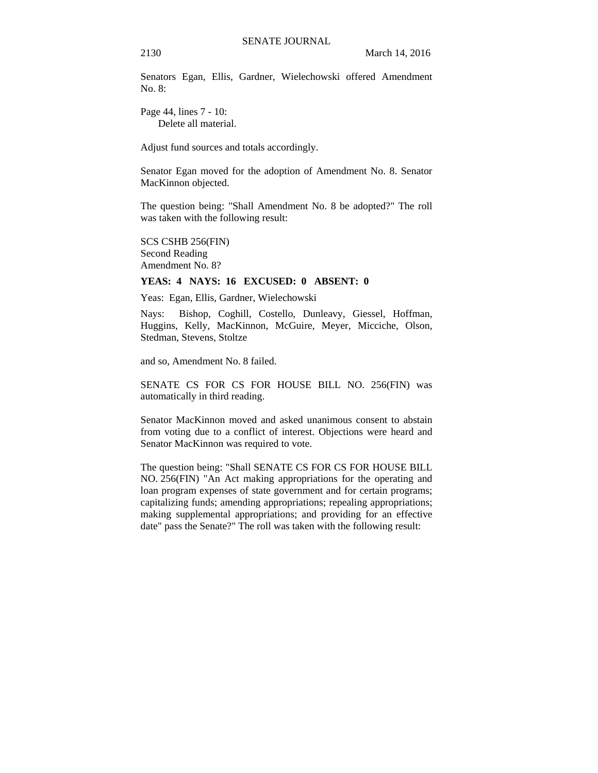Senators Egan, Ellis, Gardner, Wielechowski offered Amendment No.  $8$ .

Page 44, lines 7 - 10: Delete all material.

Adjust fund sources and totals accordingly.

Senator Egan moved for the adoption of Amendment No. 8. Senator MacKinnon objected.

The question being: "Shall Amendment No. 8 be adopted?" The roll was taken with the following result:

SCS CSHB 256(FIN) Second Reading Amendment No. 8?

#### **YEAS: 4 NAYS: 16 EXCUSED: 0 ABSENT: 0**

Yeas: Egan, Ellis, Gardner, Wielechowski

Nays: Bishop, Coghill, Costello, Dunleavy, Giessel, Hoffman, Huggins, Kelly, MacKinnon, McGuire, Meyer, Micciche, Olson, Stedman, Stevens, Stoltze

and so, Amendment No. 8 failed.

SENATE CS FOR CS FOR HOUSE BILL NO. 256(FIN) was automatically in third reading.

Senator MacKinnon moved and asked unanimous consent to abstain from voting due to a conflict of interest. Objections were heard and Senator MacKinnon was required to vote.

The question being: "Shall SENATE CS FOR CS FOR HOUSE BILL NO. 256(FIN) "An Act making appropriations for the operating and loan program expenses of state government and for certain programs; capitalizing funds; amending appropriations; repealing appropriations; making supplemental appropriations; and providing for an effective date" pass the Senate?" The roll was taken with the following result: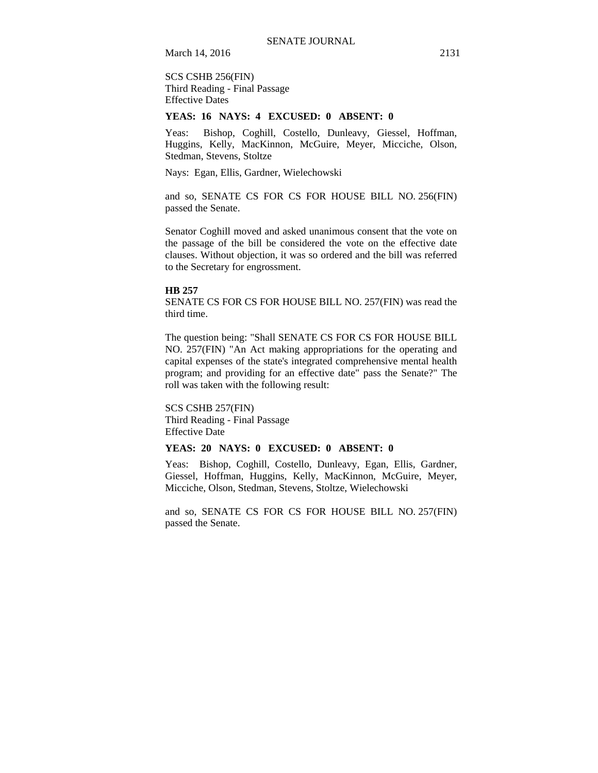March 14, 2016 2131

SCS CSHB 256(FIN) Third Reading - Final Passage Effective Dates

#### **YEAS: 16 NAYS: 4 EXCUSED: 0 ABSENT: 0**

Yeas: Bishop, Coghill, Costello, Dunleavy, Giessel, Hoffman, Huggins, Kelly, MacKinnon, McGuire, Meyer, Micciche, Olson, Stedman, Stevens, Stoltze

Nays: Egan, Ellis, Gardner, Wielechowski

and so, SENATE CS FOR CS FOR HOUSE BILL NO. 256(FIN) passed the Senate.

Senator Coghill moved and asked unanimous consent that the vote on the passage of the bill be considered the vote on the effective date clauses. Without objection, it was so ordered and the bill was referred to the Secretary for engrossment.

#### **HB 257**

SENATE CS FOR CS FOR HOUSE BILL NO. 257(FIN) was read the third time.

The question being: "Shall SENATE CS FOR CS FOR HOUSE BILL NO. 257(FIN) "An Act making appropriations for the operating and capital expenses of the state's integrated comprehensive mental health program; and providing for an effective date" pass the Senate?" The roll was taken with the following result:

SCS CSHB 257(FIN) Third Reading - Final Passage Effective Date

#### **YEAS: 20 NAYS: 0 EXCUSED: 0 ABSENT: 0**

Yeas: Bishop, Coghill, Costello, Dunleavy, Egan, Ellis, Gardner, Giessel, Hoffman, Huggins, Kelly, MacKinnon, McGuire, Meyer, Micciche, Olson, Stedman, Stevens, Stoltze, Wielechowski

and so, SENATE CS FOR CS FOR HOUSE BILL NO. 257(FIN) passed the Senate.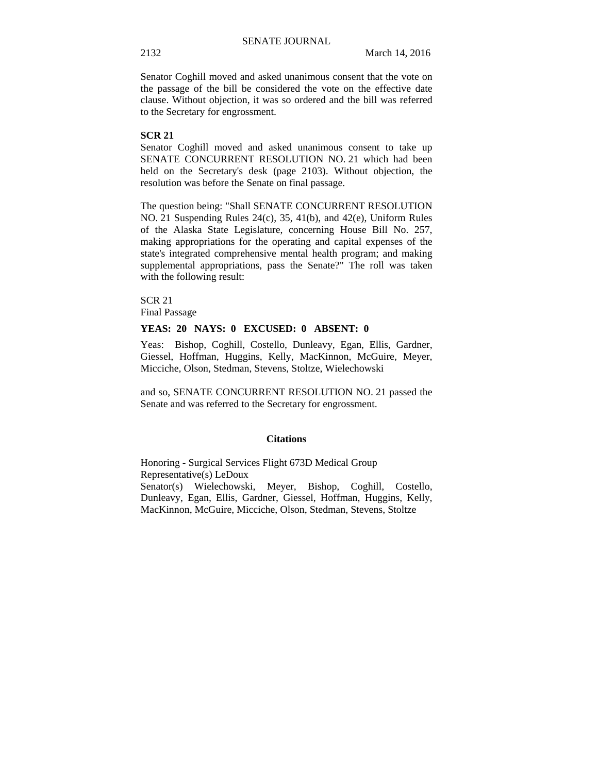Senator Coghill moved and asked unanimous consent that the vote on the passage of the bill be considered the vote on the effective date clause. Without objection, it was so ordered and the bill was referred to the Secretary for engrossment.

## **SCR 21**

Senator Coghill moved and asked unanimous consent to take up SENATE CONCURRENT RESOLUTION NO. 21 which had been held on the Secretary's desk (page 2103). Without objection, the resolution was before the Senate on final passage.

The question being: "Shall SENATE CONCURRENT RESOLUTION NO. 21 Suspending Rules 24(c), 35, 41(b), and 42(e), Uniform Rules of the Alaska State Legislature, concerning House Bill No. 257, making appropriations for the operating and capital expenses of the state's integrated comprehensive mental health program; and making supplemental appropriations, pass the Senate?" The roll was taken with the following result:

SCR 21 Final Passage

#### **YEAS: 20 NAYS: 0 EXCUSED: 0 ABSENT: 0**

Yeas: Bishop, Coghill, Costello, Dunleavy, Egan, Ellis, Gardner, Giessel, Hoffman, Huggins, Kelly, MacKinnon, McGuire, Meyer, Micciche, Olson, Stedman, Stevens, Stoltze, Wielechowski

and so, SENATE CONCURRENT RESOLUTION NO. 21 passed the Senate and was referred to the Secretary for engrossment.

#### **Citations**

Honoring - Surgical Services Flight 673D Medical Group Representative(s) LeDoux Senator(s) Wielechowski, Meyer, Bishop, Coghill, Costello, Dunleavy, Egan, Ellis, Gardner, Giessel, Hoffman, Huggins, Kelly, MacKinnon, McGuire, Micciche, Olson, Stedman, Stevens, Stoltze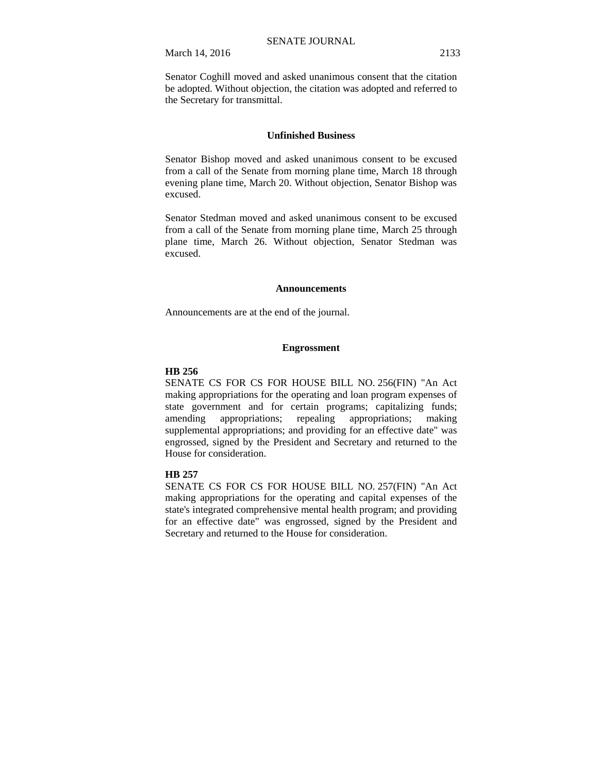Senator Coghill moved and asked unanimous consent that the citation be adopted. Without objection, the citation was adopted and referred to the Secretary for transmittal.

#### **Unfinished Business**

Senator Bishop moved and asked unanimous consent to be excused from a call of the Senate from morning plane time, March 18 through evening plane time, March 20. Without objection, Senator Bishop was excused.

Senator Stedman moved and asked unanimous consent to be excused from a call of the Senate from morning plane time, March 25 through plane time, March 26. Without objection, Senator Stedman was excused.

#### **Announcements**

Announcements are at the end of the journal.

#### **Engrossment**

#### **HB 256**

SENATE CS FOR CS FOR HOUSE BILL NO. 256(FIN) "An Act making appropriations for the operating and loan program expenses of state government and for certain programs; capitalizing funds; amending appropriations; repealing appropriations; making supplemental appropriations; and providing for an effective date" was engrossed, signed by the President and Secretary and returned to the House for consideration.

#### **HB 257**

SENATE CS FOR CS FOR HOUSE BILL NO. 257(FIN) "An Act making appropriations for the operating and capital expenses of the state's integrated comprehensive mental health program; and providing for an effective date" was engrossed, signed by the President and Secretary and returned to the House for consideration.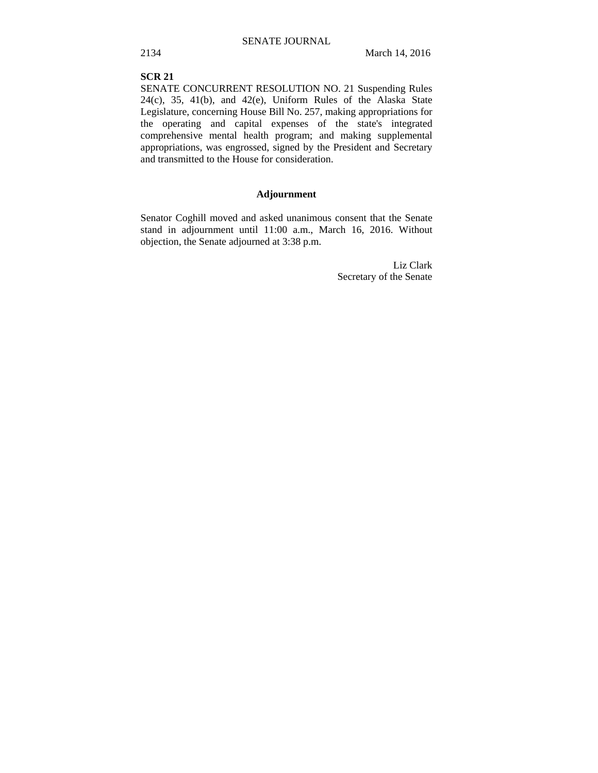### **SCR 21**

SENATE CONCURRENT RESOLUTION NO. 21 Suspending Rules  $24(c)$ ,  $35$ ,  $41(b)$ , and  $42(e)$ , Uniform Rules of the Alaska State Legislature, concerning House Bill No. 257, making appropriations for the operating and capital expenses of the state's integrated comprehensive mental health program; and making supplemental appropriations, was engrossed, signed by the President and Secretary and transmitted to the House for consideration.

## **Adjournment**

Senator Coghill moved and asked unanimous consent that the Senate stand in adjournment until 11:00 a.m., March 16, 2016. Without objection, the Senate adjourned at 3:38 p.m.

> Liz Clark Secretary of the Senate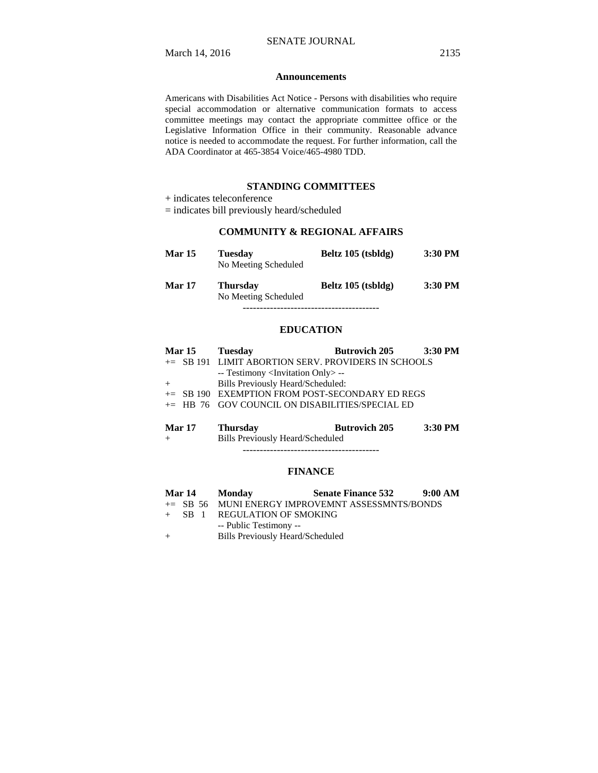#### **Announcements**

Americans with Disabilities Act Notice - Persons with disabilities who require special accommodation or alternative communication formats to access committee meetings may contact the appropriate committee office or the Legislative Information Office in their community. Reasonable advance notice is needed to accommodate the request. For further information, call the ADA Coordinator at 465-3854 Voice/465-4980 TDD.

### **STANDING COMMITTEES**

+ indicates teleconference

= indicates bill previously heard/scheduled

## **COMMUNITY & REGIONAL AFFAIRS**

| <b>Mar 15</b> | <b>Tuesday</b><br>No Meeting Scheduled  | Beltz 105 (tsbldg) | $3:30$ PM |
|---------------|-----------------------------------------|--------------------|-----------|
| <b>Mar 17</b> | <b>Thursday</b><br>No Meeting Scheduled | Beltz 105 (tsbldg) | $3:30$ PM |
|               |                                         |                    |           |

**EDUCATION**

|     | Mar 15 Tuesday                                      | Butrovich 205 3:30 PM |  |
|-----|-----------------------------------------------------|-----------------------|--|
|     | += SB 191 LIMIT ABORTION SERV. PROVIDERS IN SCHOOLS |                       |  |
|     | -- Testimony <invitation only=""> --</invitation>   |                       |  |
| $+$ | Bills Previously Heard/Scheduled:                   |                       |  |
|     | $+=$ SB 190 EXEMPTION FROM POST-SECONDARY ED REGS   |                       |  |
|     | $+=$ HB 76 GOV COUNCIL ON DISABILITIES/SPECIAL ED   |                       |  |
|     |                                                     |                       |  |

| <b>Mar 17</b> | Thursdav                                | <b>Butrovich 205</b> | 3:30 PM |
|---------------|-----------------------------------------|----------------------|---------|
| $+$           | <b>Bills Previously Heard/Scheduled</b> |                      |         |

----------------------------------------

#### **FINANCE**

|     |          | Mar 14 Monday                           | <b>Senate Finance 532</b>                           | 9:00 AM |
|-----|----------|-----------------------------------------|-----------------------------------------------------|---------|
|     |          |                                         | $\pm$ SB 56 MUNI ENERGY IMPROVEMNT ASSESSMNTS/BONDS |         |
|     | $+$ SB 1 | REGULATION OF SMOKING                   |                                                     |         |
|     |          | -- Public Testimony --                  |                                                     |         |
| $+$ |          | <b>Bills Previously Heard/Scheduled</b> |                                                     |         |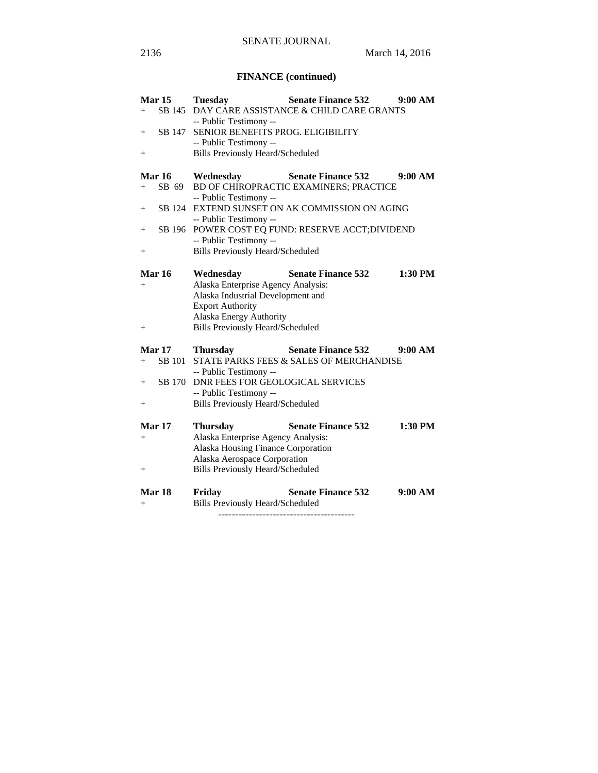# **FINANCE (continued)**

|                    | Mar <sub>15</sub> | <b>Tuesday</b>                          | <b>Senate Finance 532</b>                         | 9:00 AM   |
|--------------------|-------------------|-----------------------------------------|---------------------------------------------------|-----------|
| $+$                | SB 145            |                                         | DAY CARE ASSISTANCE & CHILD CARE GRANTS           |           |
|                    |                   | -- Public Testimony --                  |                                                   |           |
| $^+$               | SB 147            | SENIOR BENEFITS PROG. ELIGIBILITY       |                                                   |           |
|                    |                   | -- Public Testimony --                  |                                                   |           |
| $\hspace{0.1mm} +$ |                   | <b>Bills Previously Heard/Scheduled</b> |                                                   |           |
|                    |                   |                                         |                                                   |           |
|                    | <b>Mar 16</b>     | Wednesday                               | <b>Senate Finance 532</b>                         | 9:00 AM   |
| $+$                | SB 69             |                                         | BD OF CHIROPRACTIC EXAMINERS; PRACTICE            |           |
|                    |                   | -- Public Testimony --                  |                                                   |           |
| $^+$               |                   |                                         | SB 124 EXTEND SUNSET ON AK COMMISSION ON AGING    |           |
|                    |                   | -- Public Testimony --                  |                                                   |           |
|                    |                   |                                         | SB 196 POWER COST EQ FUND: RESERVE ACCT; DIVIDEND |           |
| $^{+}$             |                   | -- Public Testimony --                  |                                                   |           |
|                    |                   |                                         |                                                   |           |
| $^{+}$             |                   | <b>Bills Previously Heard/Scheduled</b> |                                                   |           |
|                    |                   |                                         |                                                   |           |
|                    | Mar 16            | Wednesday                               | <b>Senate Finance 532</b>                         | 1:30 PM   |
| $^{+}$             |                   | Alaska Enterprise Agency Analysis:      |                                                   |           |
|                    |                   | Alaska Industrial Development and       |                                                   |           |
|                    |                   | <b>Export Authority</b>                 |                                                   |           |
|                    |                   | Alaska Energy Authority                 |                                                   |           |
| $\hspace{0.1mm} +$ |                   | <b>Bills Previously Heard/Scheduled</b> |                                                   |           |
|                    |                   |                                         |                                                   |           |
|                    | <b>Mar 17</b>     | <b>Thursday</b>                         | <b>Senate Finance 532</b>                         | 9:00 AM   |
| $^{+}$             | <b>SB</b> 101     |                                         | STATE PARKS FEES & SALES OF MERCHANDISE           |           |
|                    |                   | -- Public Testimony --                  |                                                   |           |
| $^{+}$             | SB 170            | DNR FEES FOR GEOLOGICAL SERVICES        |                                                   |           |
|                    |                   | -- Public Testimony --                  |                                                   |           |
| $^+$               |                   | <b>Bills Previously Heard/Scheduled</b> |                                                   |           |
|                    |                   |                                         |                                                   |           |
|                    | Mar 17            | <b>Thursday</b>                         | <b>Senate Finance 532</b>                         | $1:30$ PM |
| $^{+}$             |                   | Alaska Enterprise Agency Analysis:      |                                                   |           |
|                    |                   | Alaska Housing Finance Corporation      |                                                   |           |
|                    |                   | Alaska Aerospace Corporation            |                                                   |           |
| $^{+}$             |                   | <b>Bills Previously Heard/Scheduled</b> |                                                   |           |
|                    |                   |                                         |                                                   |           |
|                    | Mar 18            | Friday                                  | <b>Senate Finance 532</b>                         | 9:00 AM   |
| $\hspace{0.1mm} +$ |                   | <b>Bills Previously Heard/Scheduled</b> |                                                   |           |
|                    |                   |                                         |                                                   |           |

----------------------------------------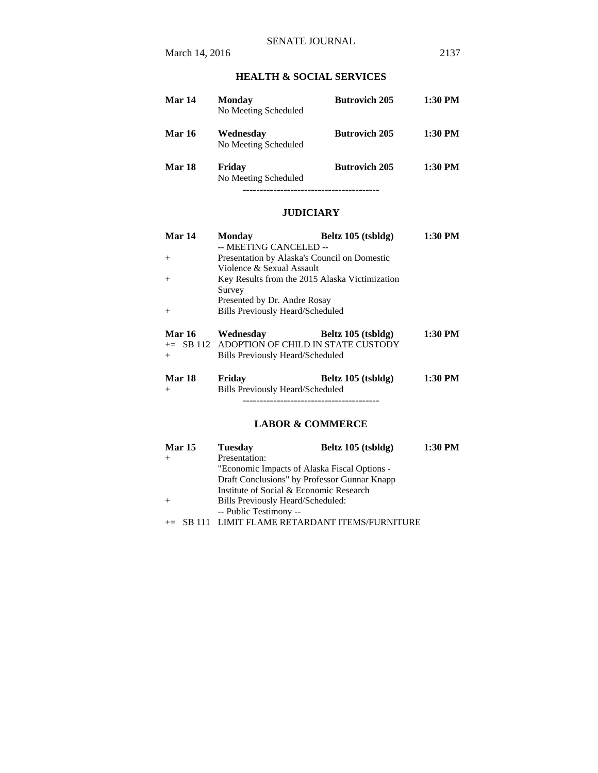# **HEALTH & SOCIAL SERVICES**

| Mar 14        | Monday<br>No Meeting Scheduled    | <b>Butrovich 205</b> | $1:30$ PM |
|---------------|-----------------------------------|----------------------|-----------|
| <b>Mar 16</b> | Wednesday<br>No Meeting Scheduled | <b>Butrovich 205</b> | $1:30$ PM |
| Mar 18        | Friday<br>No Meeting Scheduled    | <b>Butrovich 205</b> | $1:30$ PM |

## **JUDICIARY**

| Mar 14        | <b>Monday</b>                    | Beltz 105 (tsbldg)                             | 1:30 PM |
|---------------|----------------------------------|------------------------------------------------|---------|
|               | -- MEETING CANCELED --           |                                                |         |
| $^{+}$        |                                  | Presentation by Alaska's Council on Domestic   |         |
|               | Violence & Sexual Assault        |                                                |         |
| $^{+}$        |                                  | Key Results from the 2015 Alaska Victimization |         |
|               | Survey                           |                                                |         |
|               | Presented by Dr. Andre Rosay     |                                                |         |
| $^{+}$        | Bills Previously Heard/Scheduled |                                                |         |
| <b>Mar 16</b> | Wednesday                        | Beltz 105 (tsbldg)                             | 1:30 PM |
|               |                                  | $+=$ SB 112 ADOPTION OF CHILD IN STATE CUSTODY |         |
| $^{+}$        | Bills Previously Heard/Scheduled |                                                |         |

| Mar 18 | Friday | Beltz 105 (tsbldg) | 1:30 PM |
|--------|--------|--------------------|---------|

+ Bills Previously Heard/Scheduled ----------------------------------------

# **LABOR & COMMERCE**

| <b>Mar 15</b> | <b>Tuesday</b>                    | Beltz 105 (tsbldg)                           | 1:30 PM |
|---------------|-----------------------------------|----------------------------------------------|---------|
|               | Presentation:                     |                                              |         |
|               |                                   | "Economic Impacts of Alaska Fiscal Options - |         |
|               |                                   | Draft Conclusions" by Professor Gunnar Knapp |         |
|               |                                   | Institute of Social & Economic Research      |         |
|               | Bills Previously Heard/Scheduled: |                                              |         |
|               | -- Public Testimony --            |                                              |         |
|               |                                   | LIMIT FLAME RETARDANT ITEMS/FURNITURE        |         |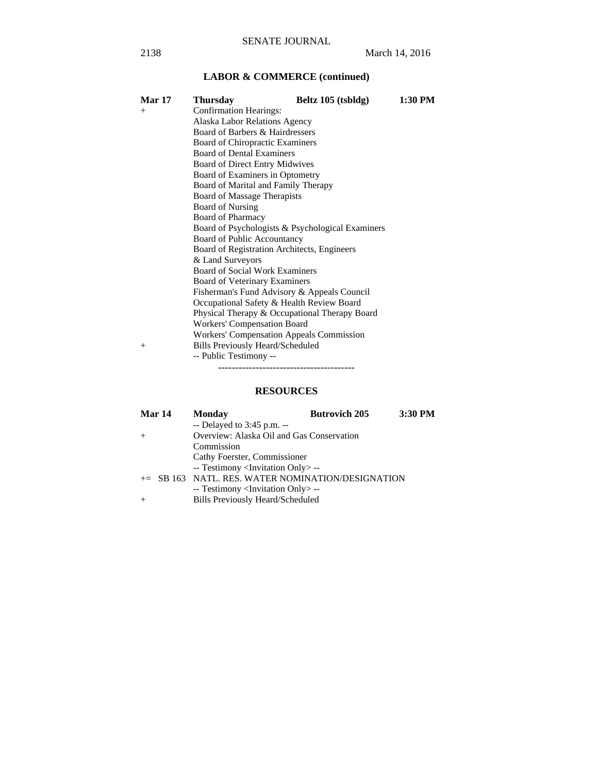# **LABOR & COMMERCE (continued)**

| <b>Mar 17</b> | <b>Thursday</b>                                  | Beltz 105 (tsbldg) | 1:30 PM |  |  |
|---------------|--------------------------------------------------|--------------------|---------|--|--|
| $+$           | <b>Confirmation Hearings:</b>                    |                    |         |  |  |
|               | Alaska Labor Relations Agency                    |                    |         |  |  |
|               | Board of Barbers & Hairdressers                  |                    |         |  |  |
|               | Board of Chiropractic Examiners                  |                    |         |  |  |
|               | <b>Board of Dental Examiners</b>                 |                    |         |  |  |
|               | Board of Direct Entry Midwives                   |                    |         |  |  |
|               | Board of Examiners in Optometry                  |                    |         |  |  |
|               | Board of Marital and Family Therapy              |                    |         |  |  |
|               | Board of Massage Therapists                      |                    |         |  |  |
|               | <b>Board of Nursing</b>                          |                    |         |  |  |
|               | <b>Board of Pharmacy</b>                         |                    |         |  |  |
|               | Board of Psychologists & Psychological Examiners |                    |         |  |  |
|               | Board of Public Accountancy                      |                    |         |  |  |
|               | Board of Registration Architects, Engineers      |                    |         |  |  |
|               | & Land Surveyors                                 |                    |         |  |  |
|               | <b>Board of Social Work Examiners</b>            |                    |         |  |  |
|               | Board of Veterinary Examiners                    |                    |         |  |  |
|               | Fisherman's Fund Advisory & Appeals Council      |                    |         |  |  |
|               | Occupational Safety & Health Review Board        |                    |         |  |  |
|               | Physical Therapy & Occupational Therapy Board    |                    |         |  |  |
|               | Workers' Compensation Board                      |                    |         |  |  |
|               | <b>Workers' Compensation Appeals Commission</b>  |                    |         |  |  |
| $^{+}$        | <b>Bills Previously Heard/Scheduled</b>          |                    |         |  |  |
|               | -- Public Testimony --                           |                    |         |  |  |
|               |                                                  |                    |         |  |  |

# **RESOURCES**

| <b>Mar 14</b> | <b>Monday</b>                                     | <b>Butrovich 205</b> | 3:30 PM |
|---------------|---------------------------------------------------|----------------------|---------|
|               | $-$ Delayed to 3:45 p.m. $-$                      |                      |         |
| $+$           | Overview: Alaska Oil and Gas Conservation         |                      |         |
|               | Commission                                        |                      |         |
|               | Cathy Foerster, Commissioner                      |                      |         |
|               | -- Testimony <invitation only=""> --</invitation> |                      |         |
|               | += SB 163 NATL. RES. WATER NOMINATION/DESIGNATION |                      |         |
|               | -- Testimony <invitation only=""> --</invitation> |                      |         |
| $+$           | <b>Bills Previously Heard/Scheduled</b>           |                      |         |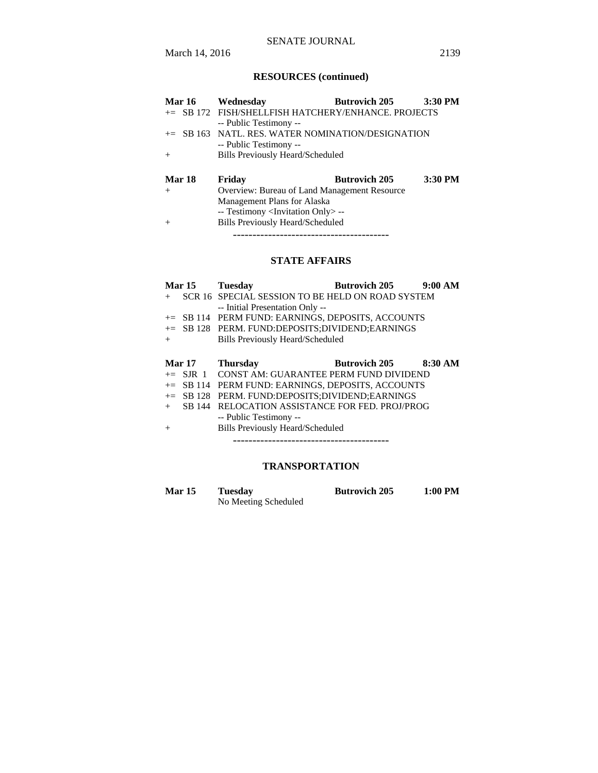# SENATE JOURNAL

# **RESOURCES (continued)**

| Mar 16        | Wednesday                                           | <b>Butrovich 205</b> | 3:30 PM |  |  |
|---------------|-----------------------------------------------------|----------------------|---------|--|--|
|               | += SB 172 FISH/SHELLFISH HATCHERY/ENHANCE. PROJECTS |                      |         |  |  |
|               | -- Public Testimony --                              |                      |         |  |  |
| $+=$          | SB 163 NATL. RES. WATER NOMINATION/DESIGNATION      |                      |         |  |  |
|               | -- Public Testimony --                              |                      |         |  |  |
| $^{+}$        | Bills Previously Heard/Scheduled                    |                      |         |  |  |
|               |                                                     |                      |         |  |  |
| <b>Mar 18</b> | Friday                                              | <b>Butrovich 205</b> | 3:30 PM |  |  |
| $+$           | Overview: Bureau of Land Management Resource        |                      |         |  |  |
|               | Management Plans for Alaska                         |                      |         |  |  |
|               | -- Testimony <invitation only=""> --</invitation>   |                      |         |  |  |
| $^{+}$        | <b>Bills Previously Heard/Scheduled</b>             |                      |         |  |  |

----------------------------------------

# **STATE AFFAIRS**

| <b>Mar 15</b> |            | <b>Tuesday</b>                                    | <b>Butrovich 205</b> | 9:00 AM |
|---------------|------------|---------------------------------------------------|----------------------|---------|
| $+$           |            | SCR 16 SPECIAL SESSION TO BE HELD ON ROAD SYSTEM  |                      |         |
|               |            | -- Initial Presentation Only --                   |                      |         |
| $+=$          |            | SB 114 PERM FUND: EARNINGS, DEPOSITS, ACCOUNTS    |                      |         |
|               |            | += SB 128 PERM. FUND:DEPOSITS:DIVIDEND:EARNINGS   |                      |         |
| $+$           |            | <b>Bills Previously Heard/Scheduled</b>           |                      |         |
|               |            |                                                   |                      |         |
| <b>Mar 17</b> |            | <b>Thursday</b>                                   | <b>Butrovich 205</b> | 8:30 AM |
|               | $+=$ SJR 1 | CONST AM: GUARANTEE PERM FUND DIVIDEND            |                      |         |
|               |            | += SB 114 PERM FUND: EARNINGS, DEPOSITS, ACCOUNTS |                      |         |
| $+=$          |            |                                                   |                      |         |
|               | SB 128     | PERM. FUND:DEPOSITS:DIVIDEND:EARNINGS             |                      |         |
| $+$           | SB 144     | RELOCATION ASSISTANCE FOR FED. PROJ/PROG          |                      |         |
|               |            | -- Public Testimony --                            |                      |         |
| $^{+}$        |            | <b>Bills Previously Heard/Scheduled</b>           |                      |         |

## **TRANSPORTATION**

| <b>Mar 15</b> | Tuesday              | <b>Butrovich 205</b> | 1:00 PM |
|---------------|----------------------|----------------------|---------|
|               | No Meeting Scheduled |                      |         |